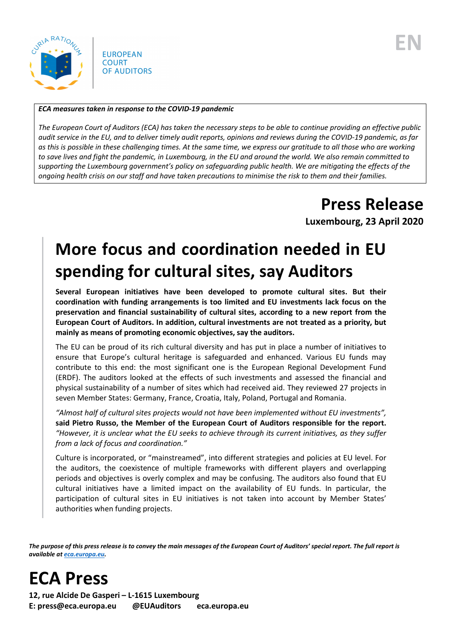

**EUROPEAN COURT** OF AUDITORS

#### *ECA measures taken in response to the COVID-19 pandemic*

*The European Court of Auditors (ECA) has taken the necessary steps to be able to continue providing an effective public audit service in the EU, and to deliver timely audit reports, opinions and reviews during the COVID-19 pandemic, as far as this is possible in these challenging times. At the same time, we express our gratitude to all those who are working to save lives and fight the pandemic, in Luxembourg, in the EU and around the world. We also remain committed to supporting the Luxembourg government's policy on safeguarding public health. We are mitigating the effects of the ongoing health crisis on our staff and have taken precautions to minimise the risk to them and their families.*

## **Press Release**

**Luxembourg, 23 April 2020**

# **More focus and coordination needed in EU spending for cultural sites, say Auditors**

**Several European initiatives have been developed to promote cultural sites. But their coordination with funding arrangements is too limited and EU investments lack focus on the preservation and financial sustainability of cultural sites, according to a new report from the European Court of Auditors. In addition, cultural investments are not treated as a priority, but mainly as means of promoting economic objectives, say the auditors.**

The EU can be proud of its rich cultural diversity and has put in place a number of initiatives to ensure that Europe's cultural heritage is safeguarded and enhanced. Various EU funds may contribute to this end: the most significant one is the European Regional Development Fund (ERDF). The auditors looked at the effects of such investments and assessed the financial and physical sustainability of a number of sites which had received aid. They reviewed 27 projects in seven Member States: Germany, France, Croatia, Italy, Poland, Portugal and Romania.

*"Almost half of cultural sites projects would not have been implemented without EU investments",* **said Pietro Russo, the Member of the European Court of Auditors responsible for the report.**  *"However, it is unclear what the EU seeks to achieve through its current initiatives, as they suffer from a lack of focus and coordination."*

Culture is incorporated, or "mainstreamed", into different strategies and policies at EU level. For the auditors, the coexistence of multiple frameworks with different players and overlapping periods and objectives is overly complex and may be confusing. The auditors also found that EU cultural initiatives have a limited impact on the availability of EU funds. In particular, the participation of cultural sites in EU initiatives is not taken into account by Member States' authorities when funding projects.

*The purpose of this press release is to convey the main messages of the European Court of Auditors' special report. The full report is available a[t eca.europa.eu.](https://www.eca.europa.eu/)*

**ECA Press**

**12, rue Alcide De Gasperi – L-1615 Luxembourg E: press@eca.europa.eu @EUAuditors eca.europa.eu**